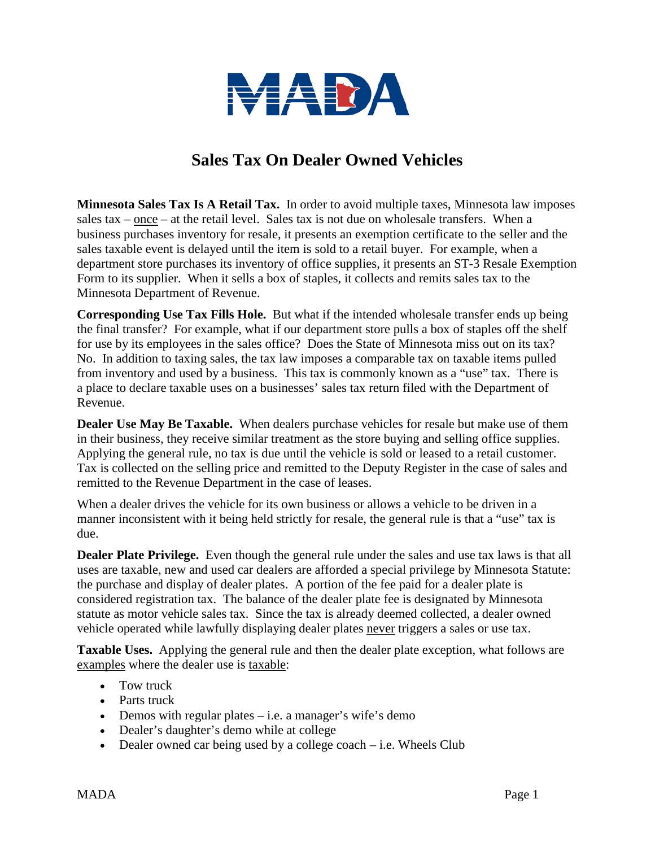

## **Sales Tax On Dealer Owned Vehicles**

**Minnesota Sales Tax Is A Retail Tax.** In order to avoid multiple taxes, Minnesota law imposes sales tax – once – at the retail level. Sales tax is not due on wholesale transfers. When a business purchases inventory for resale, it presents an exemption certificate to the seller and the sales taxable event is delayed until the item is sold to a retail buyer. For example, when a department store purchases its inventory of office supplies, it presents an ST-3 Resale Exemption Form to its supplier. When it sells a box of staples, it collects and remits sales tax to the Minnesota Department of Revenue.

**Corresponding Use Tax Fills Hole.** But what if the intended wholesale transfer ends up being the final transfer? For example, what if our department store pulls a box of staples off the shelf for use by its employees in the sales office? Does the State of Minnesota miss out on its tax? No. In addition to taxing sales, the tax law imposes a comparable tax on taxable items pulled from inventory and used by a business. This tax is commonly known as a "use" tax. There is a place to declare taxable uses on a businesses' sales tax return filed with the Department of Revenue.

**Dealer Use May Be Taxable.** When dealers purchase vehicles for resale but make use of them in their business, they receive similar treatment as the store buying and selling office supplies. Applying the general rule, no tax is due until the vehicle is sold or leased to a retail customer. Tax is collected on the selling price and remitted to the Deputy Register in the case of sales and remitted to the Revenue Department in the case of leases.

When a dealer drives the vehicle for its own business or allows a vehicle to be driven in a manner inconsistent with it being held strictly for resale, the general rule is that a "use" tax is due.

**Dealer Plate Privilege.** Even though the general rule under the sales and use tax laws is that all uses are taxable, new and used car dealers are afforded a special privilege by Minnesota Statute: the purchase and display of dealer plates. A portion of the fee paid for a dealer plate is considered registration tax. The balance of the dealer plate fee is designated by Minnesota statute as motor vehicle sales tax. Since the tax is already deemed collected, a dealer owned vehicle operated while lawfully displaying dealer plates never triggers a sales or use tax.

**Taxable Uses.** Applying the general rule and then the dealer plate exception, what follows are examples where the dealer use is taxable:

- Tow truck
- Parts truck
- Demos with regular plates i.e. a manager's wife's demo-
- Dealer's daughter's demo while at college
- Dealer owned car being used by a college coach  $-$  i.e. Wheels Club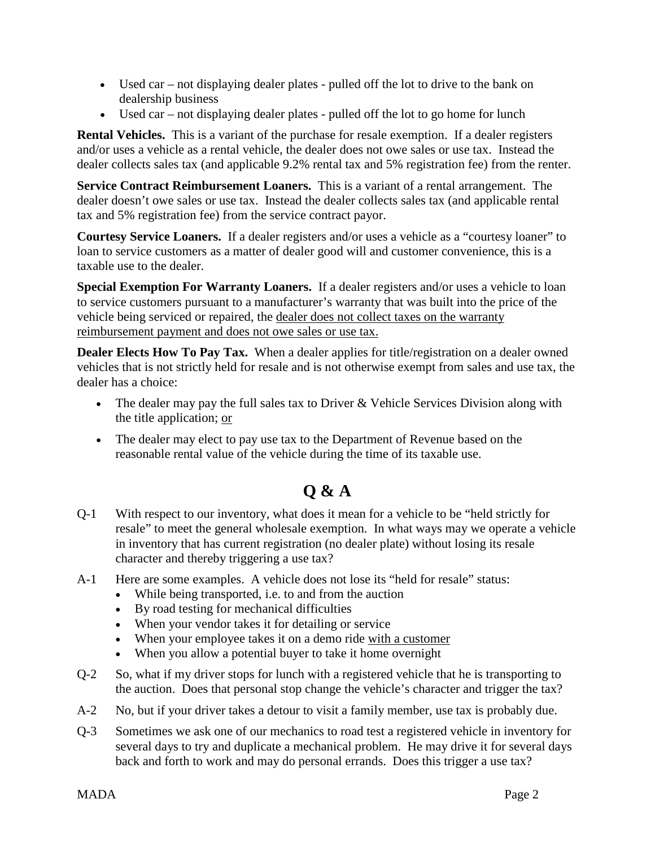- Used car not displaying dealer plates pulled off the lot to drive to the bank on dealership business
- Used car not displaying dealer plates pulled off the lot to go home for lunch

**Rental Vehicles.** This is a variant of the purchase for resale exemption. If a dealer registers and/or uses a vehicle as a rental vehicle, the dealer does not owe sales or use tax. Instead the dealer collects sales tax (and applicable 9.2% rental tax and 5% registration fee) from the renter.

**Service Contract Reimbursement Loaners.** This is a variant of a rental arrangement. The dealer doesn't owe sales or use tax. Instead the dealer collects sales tax (and applicable rental tax and 5% registration fee) from the service contract payor.

**Courtesy Service Loaners.** If a dealer registers and/or uses a vehicle as a "courtesy loaner" to loan to service customers as a matter of dealer good will and customer convenience, this is a taxable use to the dealer.

**Special Exemption For Warranty Loaners.** If a dealer registers and/or uses a vehicle to loan to service customers pursuant to a manufacturer's warranty that was built into the price of the vehicle being serviced or repaired, the dealer does not collect taxes on the warranty reimbursement payment and does not owe sales or use tax.

**Dealer Elects How To Pay Tax.** When a dealer applies for title/registration on a dealer owned vehicles that is not strictly held for resale and is not otherwise exempt from sales and use tax, the dealer has a choice:

- The dealer may pay the full sales tax to Driver  $\&$  Vehicle Services Division along with the title application; or
- The dealer may elect to pay use tax to the Department of Revenue based on the reasonable rental value of the vehicle during the time of its taxable use.

## **Q & A**

- Q-1 With respect to our inventory, what does it mean for a vehicle to be "held strictly for resale" to meet the general wholesale exemption. In what ways may we operate a vehicle in inventory that has current registration (no dealer plate) without losing its resale character and thereby triggering a use tax?
- A-1 Here are some examples. A vehicle does not lose its "held for resale" status:
	- While being transported, i.e. to and from the auction
	- By road testing for mechanical difficulties
	- When your vendor takes it for detailing or service
	- When your employee takes it on a demo ride with a customer
	- When you allow a potential buyer to take it home overnight
- Q-2 So, what if my driver stops for lunch with a registered vehicle that he is transporting to the auction. Does that personal stop change the vehicle's character and trigger the tax?
- A-2 No, but if your driver takes a detour to visit a family member, use tax is probably due.
- Q-3 Sometimes we ask one of our mechanics to road test a registered vehicle in inventory for several days to try and duplicate a mechanical problem. He may drive it for several days back and forth to work and may do personal errands. Does this trigger a use tax?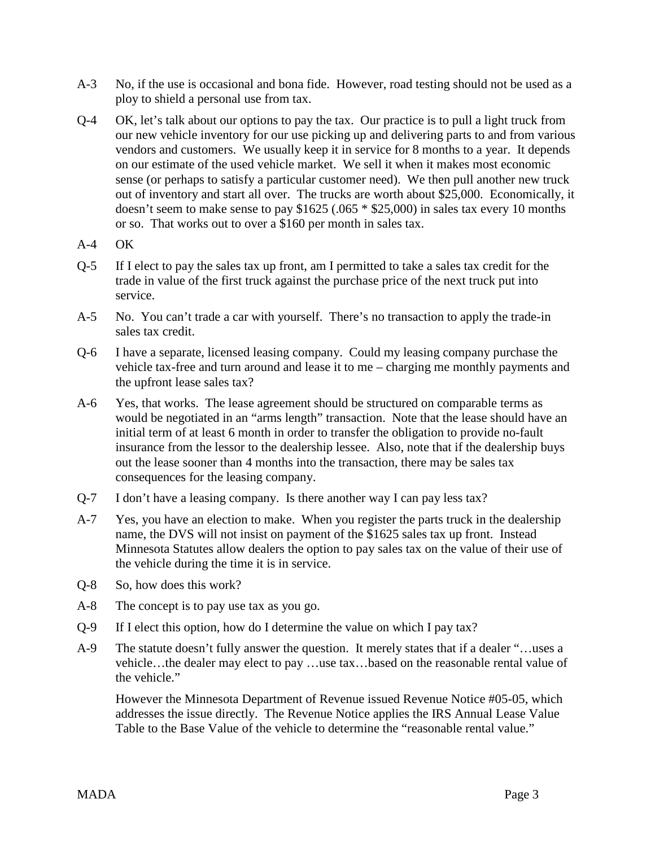- A-3 No, if the use is occasional and bona fide. However, road testing should not be used as a ploy to shield a personal use from tax.
- Q-4 OK, let's talk about our options to pay the tax. Our practice is to pull a light truck from our new vehicle inventory for our use picking up and delivering parts to and from various vendors and customers. We usually keep it in service for 8 months to a year. It depends on our estimate of the used vehicle market. We sell it when it makes most economic sense (or perhaps to satisfy a particular customer need). We then pull another new truck out of inventory and start all over. The trucks are worth about \$25,000. Economically, it doesn't seem to make sense to pay \$1625 (.065 \* \$25,000) in sales tax every 10 months or so. That works out to over a \$160 per month in sales tax.
- A-4 OK
- Q-5 If I elect to pay the sales tax up front, am I permitted to take a sales tax credit for the trade in value of the first truck against the purchase price of the next truck put into service.
- A-5 No. You can't trade a car with yourself. There's no transaction to apply the trade-in sales tax credit.
- Q-6 I have a separate, licensed leasing company. Could my leasing company purchase the vehicle tax-free and turn around and lease it to me – charging me monthly payments and the upfront lease sales tax?
- A-6 Yes, that works. The lease agreement should be structured on comparable terms as would be negotiated in an "arms length" transaction. Note that the lease should have an initial term of at least 6 month in order to transfer the obligation to provide no-fault insurance from the lessor to the dealership lessee. Also, note that if the dealership buys out the lease sooner than 4 months into the transaction, there may be sales tax consequences for the leasing company.
- Q-7 I don't have a leasing company. Is there another way I can pay less tax?
- A-7 Yes, you have an election to make. When you register the parts truck in the dealership name, the DVS will not insist on payment of the \$1625 sales tax up front. Instead Minnesota Statutes allow dealers the option to pay sales tax on the value of their use of the vehicle during the time it is in service.
- Q-8 So, how does this work?
- A-8 The concept is to pay use tax as you go.
- Q-9 If I elect this option, how do I determine the value on which I pay tax?
- A-9 The statute doesn't fully answer the question. It merely states that if a dealer "…uses a vehicle…the dealer may elect to pay …use tax…based on the reasonable rental value of the vehicle."

However the Minnesota Department of Revenue issued Revenue Notice #05-05, which addresses the issue directly. The Revenue Notice applies the IRS Annual Lease Value Table to the Base Value of the vehicle to determine the "reasonable rental value."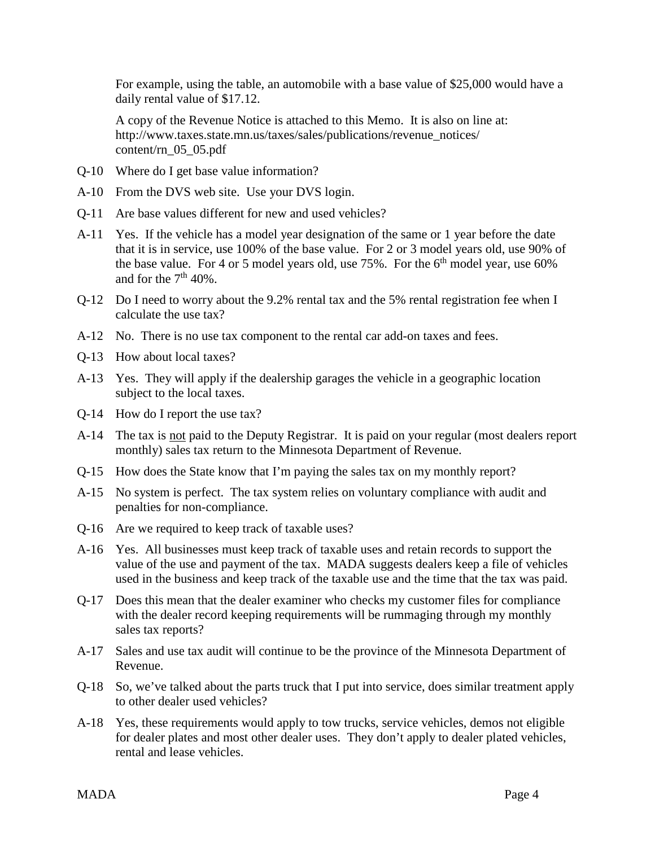For example, using the table, an automobile with a base value of \$25,000 would have a daily rental value of \$17.12.

A copy of the Revenue Notice is attached to this Memo. It is also on line at: http://www.taxes.state.mn.us/taxes/sales/publications/revenue\_notices/ content/rn\_05\_05.pdf

- Q-10 Where do I get base value information?
- A-10 From the DVS web site. Use your DVS login.
- Q-11 Are base values different for new and used vehicles?
- A-11 Yes. If the vehicle has a model year designation of the same or 1 year before the date that it is in service, use 100% of the base value. For 2 or 3 model years old, use 90% of the base value. For 4 or 5 model years old, use  $75\%$ . For the  $6<sup>th</sup>$  model year, use  $60\%$ and for the  $7<sup>th</sup> 40%$ .
- Q-12 Do I need to worry about the 9.2% rental tax and the 5% rental registration fee when I calculate the use tax?
- A-12 No. There is no use tax component to the rental car add-on taxes and fees.
- Q-13 How about local taxes?
- A-13 Yes. They will apply if the dealership garages the vehicle in a geographic location subject to the local taxes.
- Q-14 How do I report the use tax?
- A-14 The tax is not paid to the Deputy Registrar. It is paid on your regular (most dealers report monthly) sales tax return to the Minnesota Department of Revenue.
- Q-15 How does the State know that I'm paying the sales tax on my monthly report?
- A-15 No system is perfect. The tax system relies on voluntary compliance with audit and penalties for non-compliance.
- Q-16 Are we required to keep track of taxable uses?
- A-16 Yes. All businesses must keep track of taxable uses and retain records to support the value of the use and payment of the tax. MADA suggests dealers keep a file of vehicles used in the business and keep track of the taxable use and the time that the tax was paid.
- Q-17 Does this mean that the dealer examiner who checks my customer files for compliance with the dealer record keeping requirements will be rummaging through my monthly sales tax reports?
- A-17 Sales and use tax audit will continue to be the province of the Minnesota Department of Revenue.
- Q-18 So, we've talked about the parts truck that I put into service, does similar treatment apply to other dealer used vehicles?
- A-18 Yes, these requirements would apply to tow trucks, service vehicles, demos not eligible for dealer plates and most other dealer uses. They don't apply to dealer plated vehicles, rental and lease vehicles.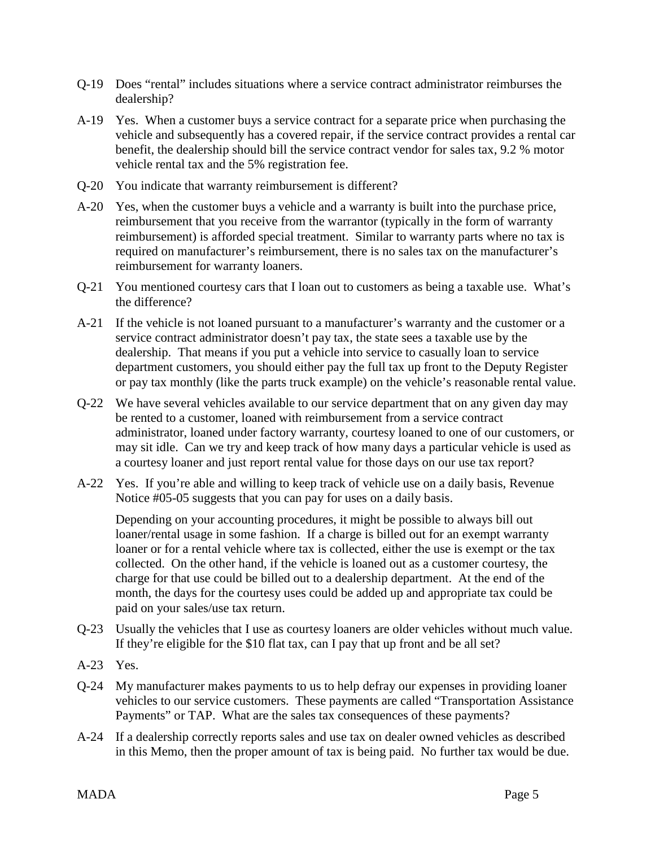- Q-19 Does "rental" includes situations where a service contract administrator reimburses the dealership?
- A-19 Yes. When a customer buys a service contract for a separate price when purchasing the vehicle and subsequently has a covered repair, if the service contract provides a rental car benefit, the dealership should bill the service contract vendor for sales tax, 9.2 % motor vehicle rental tax and the 5% registration fee.
- Q-20 You indicate that warranty reimbursement is different?
- A-20 Yes, when the customer buys a vehicle and a warranty is built into the purchase price, reimbursement that you receive from the warrantor (typically in the form of warranty reimbursement) is afforded special treatment. Similar to warranty parts where no tax is required on manufacturer's reimbursement, there is no sales tax on the manufacturer's reimbursement for warranty loaners.
- Q-21 You mentioned courtesy cars that I loan out to customers as being a taxable use. What's the difference?
- A-21 If the vehicle is not loaned pursuant to a manufacturer's warranty and the customer or a service contract administrator doesn't pay tax, the state sees a taxable use by the dealership. That means if you put a vehicle into service to casually loan to service department customers, you should either pay the full tax up front to the Deputy Register or pay tax monthly (like the parts truck example) on the vehicle's reasonable rental value.
- Q-22 We have several vehicles available to our service department that on any given day may be rented to a customer, loaned with reimbursement from a service contract administrator, loaned under factory warranty, courtesy loaned to one of our customers, or may sit idle. Can we try and keep track of how many days a particular vehicle is used as a courtesy loaner and just report rental value for those days on our use tax report?
- A-22 Yes. If you're able and willing to keep track of vehicle use on a daily basis, Revenue Notice #05-05 suggests that you can pay for uses on a daily basis.

Depending on your accounting procedures, it might be possible to always bill out loaner/rental usage in some fashion. If a charge is billed out for an exempt warranty loaner or for a rental vehicle where tax is collected, either the use is exempt or the tax collected. On the other hand, if the vehicle is loaned out as a customer courtesy, the charge for that use could be billed out to a dealership department. At the end of the month, the days for the courtesy uses could be added up and appropriate tax could be paid on your sales/use tax return.

- Q-23 Usually the vehicles that I use as courtesy loaners are older vehicles without much value. If they're eligible for the \$10 flat tax, can I pay that up front and be all set?
- A-23 Yes.
- Q-24 My manufacturer makes payments to us to help defray our expenses in providing loaner vehicles to our service customers. These payments are called "Transportation Assistance Payments" or TAP. What are the sales tax consequences of these payments?
- A-24 If a dealership correctly reports sales and use tax on dealer owned vehicles as described in this Memo, then the proper amount of tax is being paid. No further tax would be due.